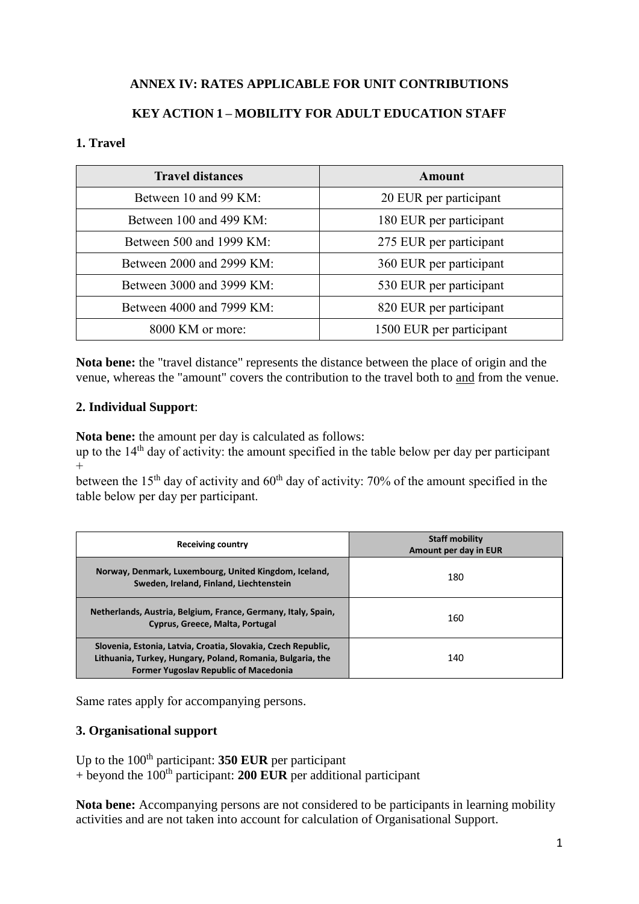# **ANNEX IV: RATES APPLICABLE FOR UNIT CONTRIBUTIONS**

# **KEY ACTION 1 – MOBILITY FOR ADULT EDUCATION STAFF**

#### **1. Travel**

| <b>Travel distances</b>   | Amount                   |
|---------------------------|--------------------------|
| Between 10 and 99 KM:     | 20 EUR per participant   |
| Between 100 and 499 KM:   | 180 EUR per participant  |
| Between 500 and 1999 KM:  | 275 EUR per participant  |
| Between 2000 and 2999 KM: | 360 EUR per participant  |
| Between 3000 and 3999 KM: | 530 EUR per participant  |
| Between 4000 and 7999 KM: | 820 EUR per participant  |
| 8000 KM or more:          | 1500 EUR per participant |

**Nota bene:** the "travel distance" represents the distance between the place of origin and the venue, whereas the "amount" covers the contribution to the travel both to and from the venue.

#### **2. Individual Support**:

**Nota bene:** the amount per day is calculated as follows:

up to the  $14<sup>th</sup>$  day of activity: the amount specified in the table below per day per participant  $+$ 

between the 15<sup>th</sup> day of activity and  $60<sup>th</sup>$  day of activity: 70% of the amount specified in the table below per day per participant.

| <b>Receiving country</b>                                                                                                                                                    | <b>Staff mobility</b><br>Amount per day in EUR |
|-----------------------------------------------------------------------------------------------------------------------------------------------------------------------------|------------------------------------------------|
| Norway, Denmark, Luxembourg, United Kingdom, Iceland,<br>Sweden, Ireland, Finland, Liechtenstein                                                                            | 180                                            |
| Netherlands, Austria, Belgium, France, Germany, Italy, Spain,<br>Cyprus, Greece, Malta, Portugal                                                                            | 160                                            |
| Slovenia, Estonia, Latvia, Croatia, Slovakia, Czech Republic,<br>Lithuania, Turkey, Hungary, Poland, Romania, Bulgaria, the<br><b>Former Yugoslav Republic of Macedonia</b> | 140                                            |

Same rates apply for accompanying persons.

#### **3. Organisational support**

Up to the 100<sup>th</sup> participant: **350 EUR** per participant  $+$  beyond the 100<sup>th</sup> participant: **200 EUR** per additional participant

**Nota bene:** Accompanying persons are not considered to be participants in learning mobility activities and are not taken into account for calculation of Organisational Support.